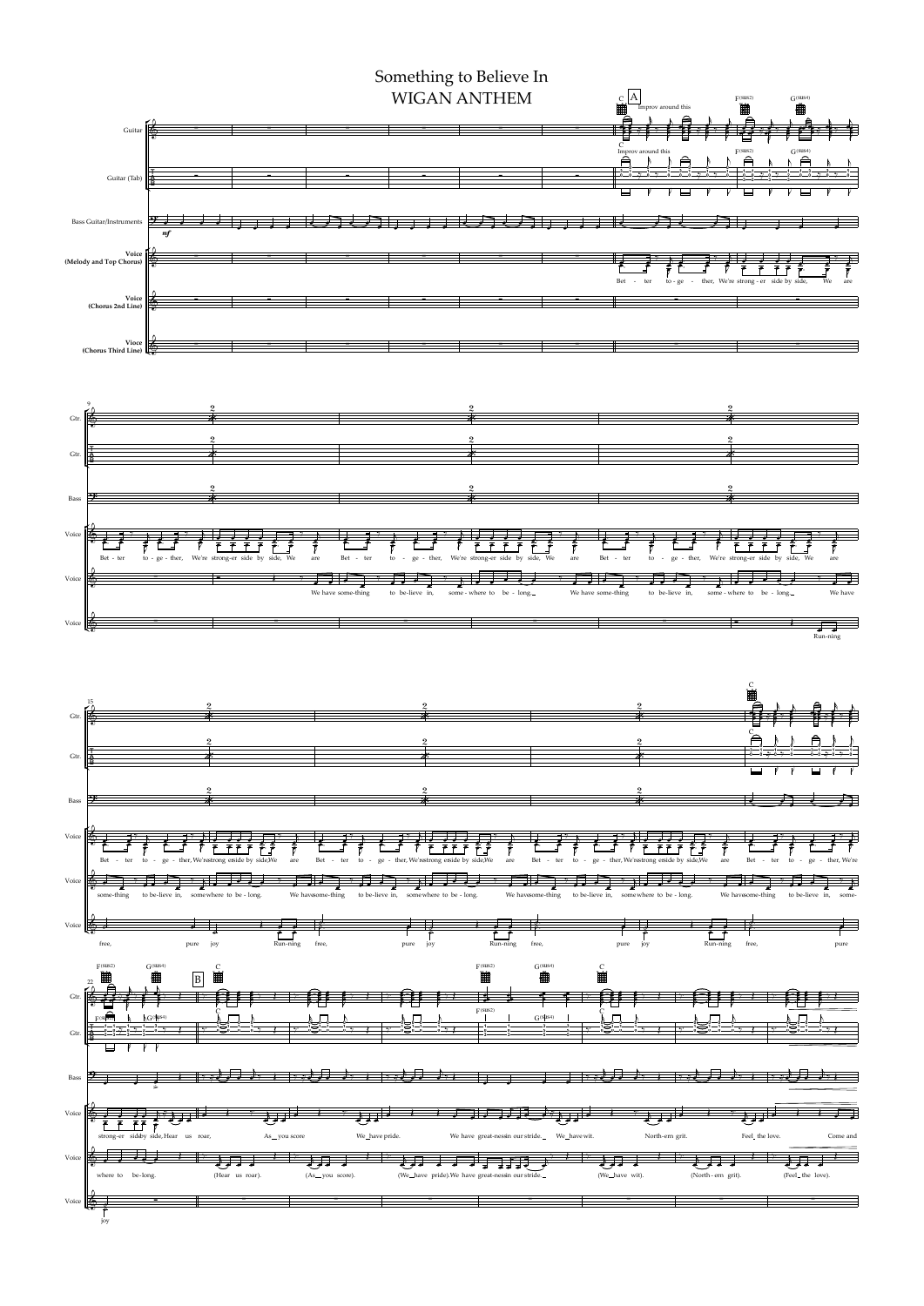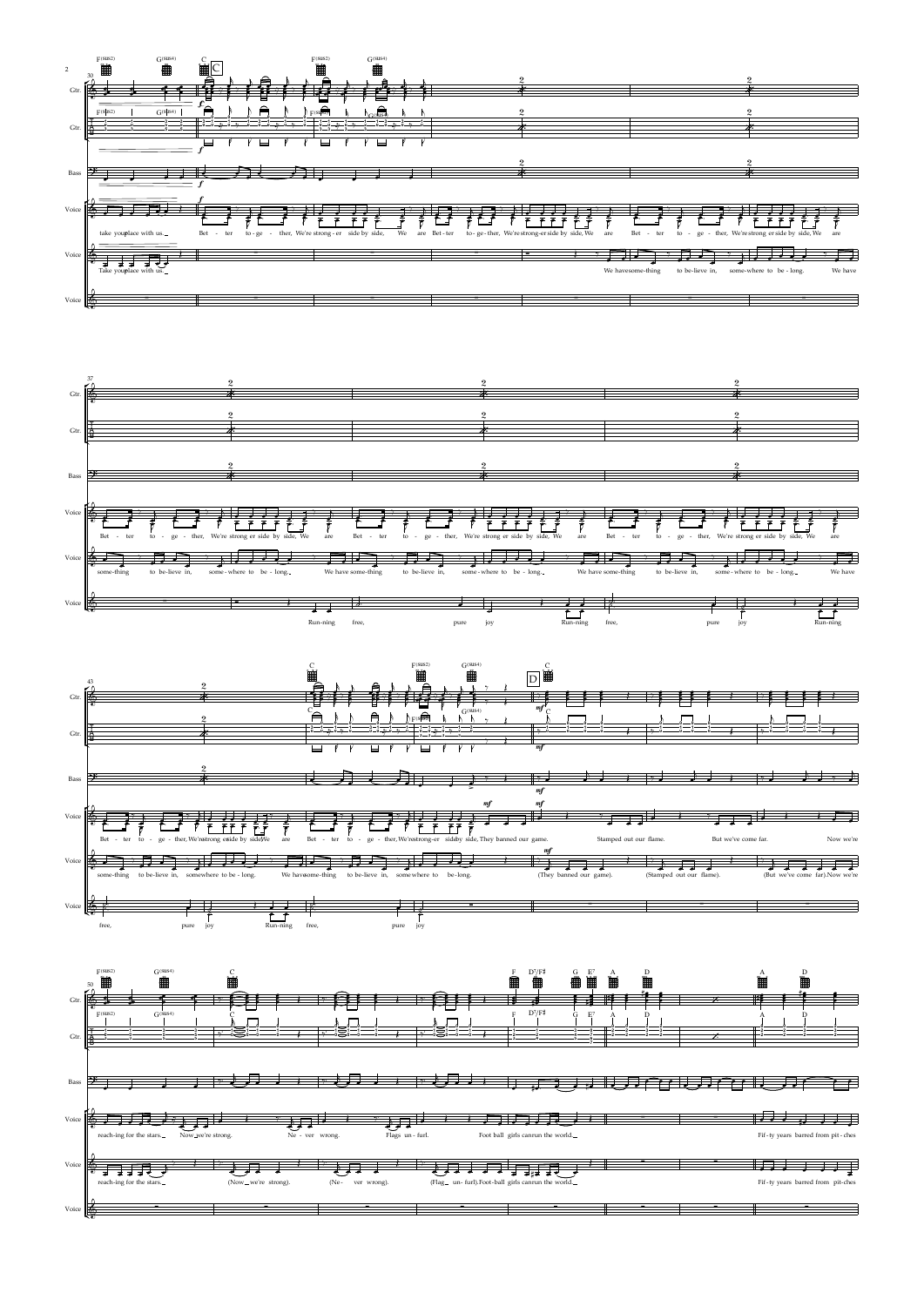